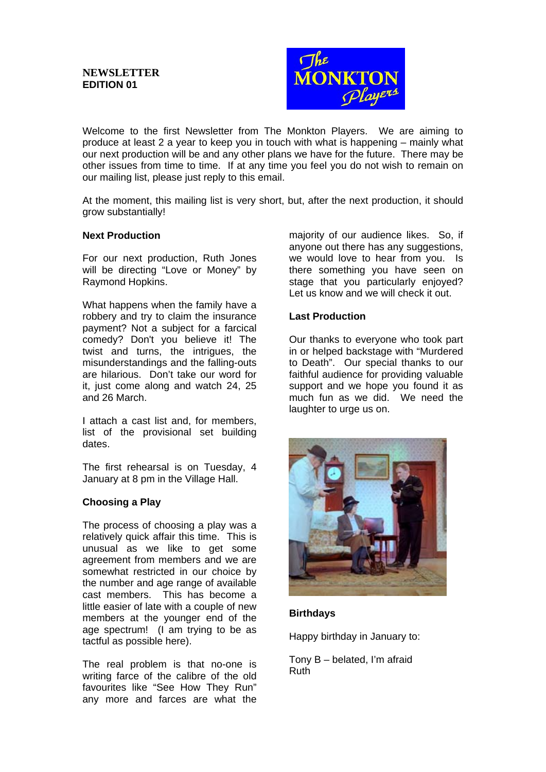

Welcome to the first Newsletter from The Monkton Players. We are aiming to produce at least 2 a year to keep you in touch with what is happening – mainly what our next production will be and any other plans we have for the future. There may be other issues from time to time. If at any time you feel you do not wish to remain on our mailing list, please just reply to this email.

At the moment, this mailing list is very short, but, after the next production, it should grow substantially!

#### **Next Production**

For our next production, Ruth Jones will be directing "Love or Money" by Raymond Hopkins.

What happens when the family have a robbery and try to claim the insurance payment? Not a subject for a farcical comedy? Don't you believe it! The twist and turns, the intrigues, the misunderstandings and the falling-outs are hilarious. Don't take our word for it, just come along and watch 24, 25 and 26 March.

I attach a cast list and, for members, list of the provisional set building dates.

The first rehearsal is on Tuesday, 4 January at 8 pm in the Village Hall.

#### **Choosing a Play**

The process of choosing a play was a relatively quick affair this time. This is unusual as we like to get some agreement from members and we are somewhat restricted in our choice by the number and age range of available cast members. This has become a little easier of late with a couple of new members at the younger end of the age spectrum! (I am trying to be as tactful as possible here).

The real problem is that no-one is writing farce of the calibre of the old favourites like "See How They Run" any more and farces are what the

majority of our audience likes. So, if anyone out there has any suggestions. we would love to hear from you. Is there something you have seen on stage that you particularly enjoyed? Let us know and we will check it out.

### **Last Production**

Our thanks to everyone who took part in or helped backstage with "Murdered to Death". Our special thanks to our faithful audience for providing valuable support and we hope you found it as much fun as we did. We need the laughter to urge us on.



#### **Birthdays**

Happy birthday in January to:

Tony B – belated, I'm afraid Ruth